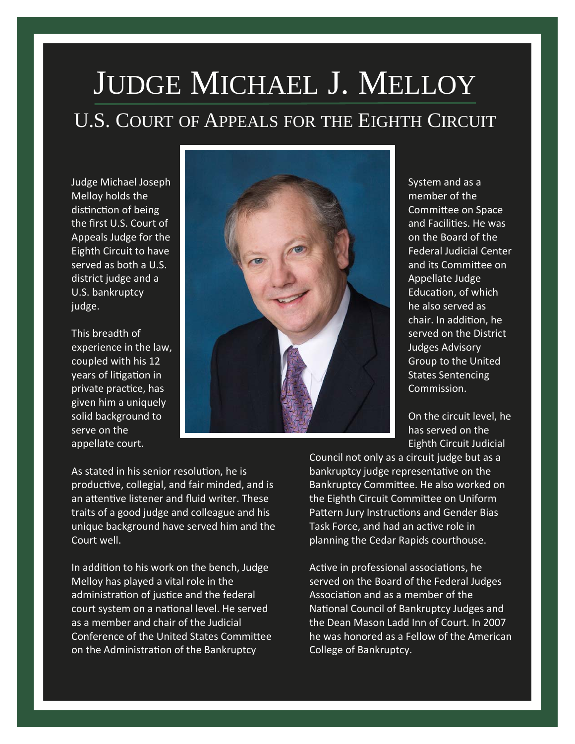## JUDGE MICHAEL J. MELLOY U.S. COURT OF APPEALS FOR THE EIGHTH CIRCUIT

Judge Michael Joseph Melloy holds the distinction of being the first U.S. Court of Appeals Judge for the Eighth Circuit to have served as both a U.S. district judge and a U.S. bankruptcy judge.

This breadth of experience in the law, coupled with his 12 years of litigation in private practice, has given him a uniquely solid background to serve on the appellate court.



System and as a member of the Committee on Space and Facilities. He was on the Board of the Federal Judicial Center and its Committee on Appellate Judge Education, of which he also served as chair. In addition, he served on the District Judges Advisory Group to the United States Sentencing Commission.

On the circuit level, he has served on the Eighth Circuit Judicial

As stated in his senior resolution, he is productive, collegial, and fair minded, and is an attentive listener and fluid writer. These traits of a good judge and colleague and his unique background have served him and the Court well.

In addition to his work on the bench, Judge Melloy has played a vital role in the administration of justice and the federal court system on a national level. He served as a member and chair of the Judicial Conference of the United States Committee on the Administration of the Bankruptcy

Council not only as a circuit judge but as a bankruptcy judge representative on the Bankruptcy CommiƩee. He also worked on the Eighth Circuit Committee on Uniform Pattern Jury Instructions and Gender Bias Task Force, and had an active role in planning the Cedar Rapids courthouse.

Active in professional associations, he served on the Board of the Federal Judges Association and as a member of the National Council of Bankruptcy Judges and the Dean Mason Ladd Inn of Court. In 2007 he was honored as a Fellow of the American College of Bankruptcy.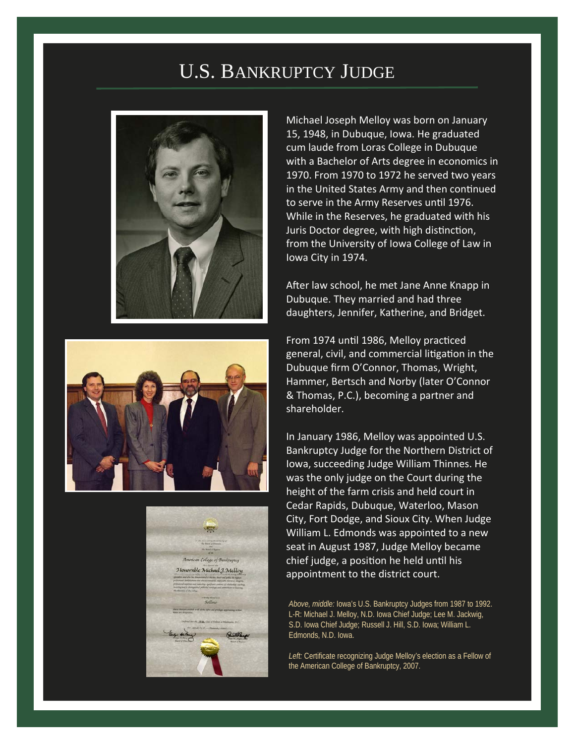## U.S. BANKRUPTCY JUDGE







Michael Joseph Melloy was born on January 15, 1948, in Dubuque, Iowa. He graduated cum laude from Loras College in Dubuque with a Bachelor of Arts degree in economics in 1970. From 1970 to 1972 he served two years in the United States Army and then continued to serve in the Army Reserves until 1976. While in the Reserves, he graduated with his Juris Doctor degree, with high distinction, from the University of Iowa College of Law in Iowa City in 1974.

After law school, he met Jane Anne Knapp in Dubuque. They married and had three daughters, Jennifer, Katherine, and Bridget.

From 1974 until 1986, Melloy practiced general, civil, and commercial litigation in the Dubuque firm O'Connor, Thomas, Wright, Hammer, Bertsch and Norby (later O'Connor & Thomas, P.C.), becoming a partner and shareholder.

In January 1986, Melloy was appointed U.S. Bankruptcy Judge for the Northern District of Iowa, succeeding Judge William Thinnes. He was the only judge on the Court during the height of the farm crisis and held court in Cedar Rapids, Dubuque, Waterloo, Mason City, Fort Dodge, and Sioux City. When Judge William L. Edmonds was appointed to a new seat in August 1987, Judge Melloy became chief judge, a position he held until his appointment to the district court.

*Above, middle:* Iowa's U.S. Bankruptcy Judges from 1987 to 1992. L-R: Michael J. Melloy, N.D. Iowa Chief Judge; Lee M. Jackwig, S.D. Iowa Chief Judge; Russell J. Hill, S.D. Iowa; William L. Edmonds, N.D. Iowa.

*Left:* Certificate recognizing Judge Melloy's election as a Fellow of the American College of Bankruptcy, 2007.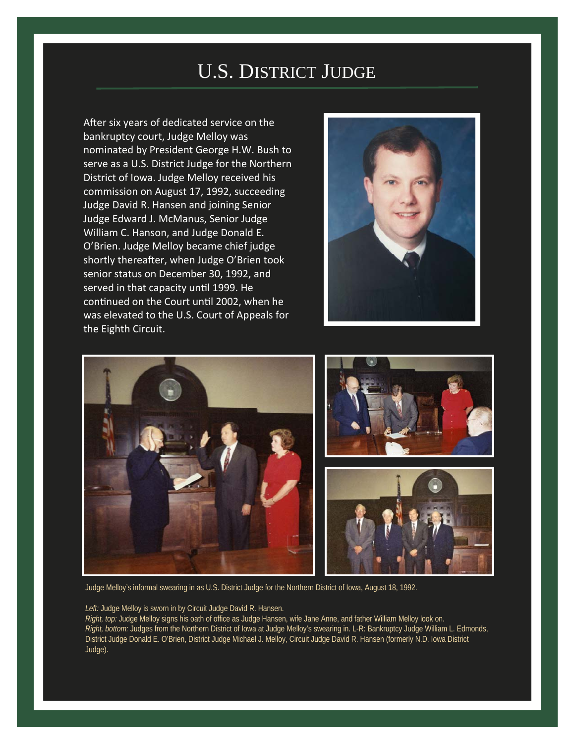## U.S. DISTRICT JUDGE

After six years of dedicated service on the bankruptcy court, Judge Melloy was nominated by President George H.W. Bush to serve as a U.S. District Judge for the Northern District of Iowa. Judge Melloy received his commission on August 17, 1992, succeeding Judge David R. Hansen and joining Senior Judge Edward J. McManus, Senior Judge William C. Hanson, and Judge Donald E. O'Brien. Judge Melloy became chief judge shortly thereafter, when Judge O'Brien took senior status on December 30, 1992, and served in that capacity until 1999. He continued on the Court until 2002, when he was elevated to the U.S. Court of Appeals for the Eighth Circuit.





Judge Melloy's informal swearing in as U.S. District Judge for the Northern District of Iowa, August 18, 1992.

*Left:* Judge Melloy is sworn in by Circuit Judge David R. Hansen. *Right, top:* Judge Melloy signs his oath of office as Judge Hansen, wife Jane Anne, and father William Melloy look on. *Right, bottom:* Judges from the Northern District of Iowa at Judge Melloy's swearing in. L-R: Bankruptcy Judge William L. Edmonds, District Judge Donald E. O'Brien, District Judge Michael J. Melloy, Circuit Judge David R. Hansen (formerly N.D. Iowa District Judge).